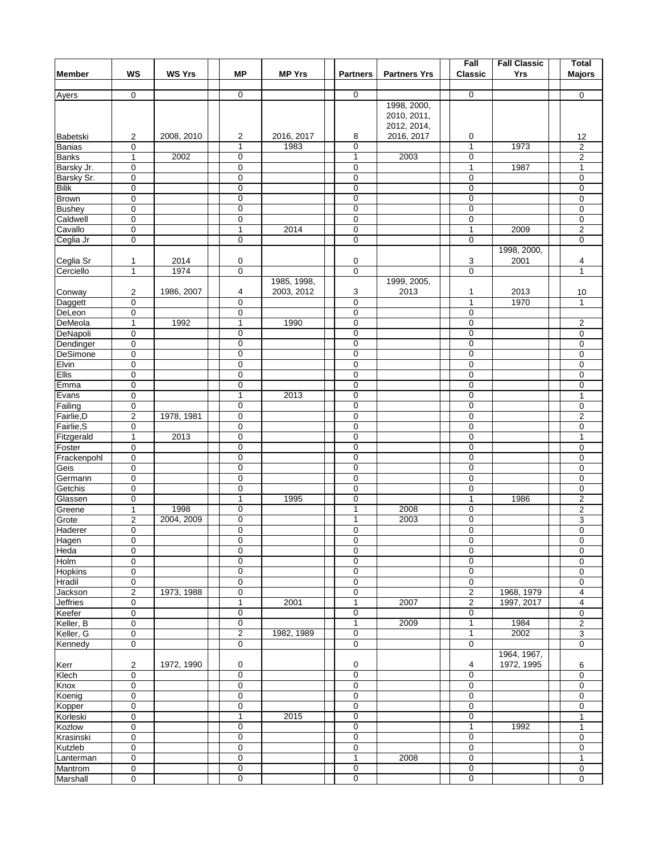|                            |                                      |               |                  |               |                            |                            | Fall             | <b>Fall Classic</b>      | <b>Total</b>                  |
|----------------------------|--------------------------------------|---------------|------------------|---------------|----------------------------|----------------------------|------------------|--------------------------|-------------------------------|
| <b>Member</b>              | WS                                   | <b>WS Yrs</b> | МP               | <b>MP Yrs</b> | <b>Partners</b>            | <b>Partners Yrs</b>        | <b>Classic</b>   | Yrs                      | <b>Majors</b>                 |
| Ayers                      | 0                                    |               | 0                |               | 0                          |                            | 0                |                          | 0                             |
|                            |                                      |               |                  |               |                            | 1998, 2000,                |                  |                          |                               |
|                            |                                      |               |                  |               |                            | 2010, 2011,<br>2012, 2014, |                  |                          |                               |
| <b>Babetski</b>            | 2                                    | 2008, 2010    | 2                | 2016, 2017    | 8                          | 2016, 2017                 | 0                |                          | 12                            |
| <b>Banias</b>              | $\mathbf 0$                          |               | $\mathbf{1}$     | 1983          | $\mathbf 0$                |                            | 1                | 1973                     | $\overline{2}$                |
| <b>Banks</b>               | 1                                    | 2002          | 0                |               | 1                          | 2003                       | 0                |                          | $\overline{2}$                |
| Barsky Jr.                 | 0                                    |               | 0                |               | $\mathbf 0$                |                            | $\mathbf{1}$     | 1987                     | $\mathbf{1}$                  |
| Barsky Sr.<br><b>Bilik</b> | 0<br>$\mathbf 0$                     |               | $\mathbf 0$<br>0 |               | $\mathbf 0$<br>0           |                            | 0<br>0           |                          | $\overline{0}$<br>0           |
| <b>Brown</b>               | $\mathbf 0$                          |               | $\mathbf 0$      |               | $\mathbf 0$                |                            | $\overline{0}$   |                          | $\mathbf 0$                   |
| <b>Bushey</b>              | $\boldsymbol{0}$                     |               | 0                |               | $\mathbf 0$                |                            | 0                |                          | 0                             |
| Caldwell                   | $\pmb{0}$                            |               | 0                |               | $\mathbf 0$                |                            | 0                |                          | 0                             |
| Cavallo                    | 0                                    |               | 1                | 2014          | 0                          |                            | 1                | 2009                     | 2                             |
| Ceglia Jr                  | $\pmb{0}$                            |               | 0                |               | $\mathbf 0$                |                            | 0                | 1998, 2000,              | 0                             |
| Ceglia Sr                  | 1                                    | 2014          | 0                |               | 0                          |                            | 3                | 2001                     | 4                             |
| Cerciello                  | 1                                    | 1974          | $\mathbf 0$      |               | $\mathbf 0$                |                            | 0                |                          | $\overline{1}$                |
|                            |                                      |               |                  | 1985, 1998,   |                            | 1999, 2005,                |                  |                          |                               |
| Conway                     | 2                                    | 1986, 2007    | 4                | 2003, 2012    | 3                          | 2013                       | 1                | 2013                     | 10                            |
| Daggett                    | 0                                    |               | 0                |               | $\mathbf 0$                |                            | 1                | 1970                     | 1                             |
| DeLeon                     | 0<br>$\mathbf{1}$                    | 1992          | 0<br>1           | 1990          | 0<br>0                     |                            | 0<br>0           |                          |                               |
| DeMeola<br>DeNapoli        | 0                                    |               | $\mathbf 0$      |               | $\mathbf 0$                |                            | 0                |                          | $\overline{c}$<br>0           |
| Dendinger                  | $\boldsymbol{0}$                     |               | 0                |               | $\mathbf 0$                |                            | 0                |                          | 0                             |
| DeSimone                   | 0                                    |               | 0                |               | $\mathbf 0$                |                            | 0                |                          | $\overline{0}$                |
| Elvin                      | $\pmb{0}$                            |               | 0                |               | 0                          |                            | 0                |                          | 0                             |
| Ellis                      | 0                                    |               | 0                |               | 0                          |                            | 0                |                          | 0                             |
| Emma<br>Evans              | 0<br>$\boldsymbol{0}$                |               | $\mathbf 0$<br>1 | 2013          | $\mathbf 0$<br>$\mathbf 0$ |                            | 0<br>0           |                          | 0<br>1                        |
| Failing                    | $\boldsymbol{0}$                     |               | $\mathbf 0$      |               | $\mathbf 0$                |                            | 0                |                          | 0                             |
| Fairlie, D                 | $\overline{\mathbf{c}}$              | 1978, 1981    | 0                |               | $\mathbf 0$                |                            | 0                |                          | $\overline{\mathbf{c}}$       |
| Fairlie, S                 | 0                                    |               | 0                |               | 0                          |                            | 0                |                          | 0                             |
| Fitzgerald                 | $\mathbf{1}$                         | 2013          | $\mathbf 0$      |               | $\mathbf 0$                |                            | 0                |                          | 1                             |
| Foster                     | $\boldsymbol{0}$<br>$\boldsymbol{0}$ |               | 0<br>$\mathbf 0$ |               | $\mathbf 0$<br>$\mathbf 0$ |                            | 0<br>0           |                          | $\mathbf 0$<br>$\overline{0}$ |
| Frackenpohl<br>Geis        | $\pmb{0}$                            |               | 0                |               | $\mathbf 0$                |                            | 0                |                          | 0                             |
| Germann                    | 0                                    |               | 0                |               | 0                          |                            | 0                |                          | 0                             |
| Getchis                    | 0                                    |               | $\mathbf 0$      |               | $\mathbf 0$                |                            | 0                |                          | $\mathbf 0$                   |
| Glassen                    | $\boldsymbol{0}$                     |               | 1                | 1995          | $\mathbf 0$                |                            | 1                | 1986                     | $\overline{2}$                |
| Greene                     | $\mathbf{1}$                         | 1998          | $\mathbf 0$      |               | $\mathbf{1}$               | 2008                       | 0                |                          | $\overline{\mathbf{2}}$       |
| Grote                      | 2                                    | 2004, 2009    | 0<br>0           |               | 1<br>0                     | 2003                       | 0<br>0           |                          | 3                             |
| Haderer<br>Hagen           | 0<br>0                               |               | 0                |               | $\mathbf 0$                |                            | 0                |                          | 0<br>0                        |
| Heda                       | $\mathbf 0$                          |               | 0                |               | 0                          |                            | 0                |                          | $\mathbf 0$                   |
| <b>Holm</b>                | $\mathbf 0$                          |               | 0                |               | $\mathbf 0$                |                            | 0                |                          | 0                             |
| <b>Hopkins</b>             | $\pmb{0}$                            |               | 0                |               | 0                          |                            | 0                |                          | 0                             |
| Hradil                     | $\mathbf 0$                          |               | 0                |               | 0                          |                            | 0                |                          | 0                             |
| Jackson<br><b>Jeffries</b> | $\boldsymbol{2}$<br>0                | 1973, 1988    | 0<br>1           | 2001          | 0<br>1                     | 2007                       | $\mathbf 2$<br>2 | 1968, 1979<br>1997, 2017 | 4<br>4                        |
| Keefer                     | $\mathbf 0$                          |               | $\mathbf 0$      |               | 0                          |                            | 0                |                          | $\overline{0}$                |
| Keller, B                  | 0                                    |               | 0                |               | $\mathbf{1}$               | 2009                       | 1                | 1984                     | $\overline{2}$                |
| Keller, G                  | $\mathbf 0$                          |               | 2                | 1982, 1989    | 0                          |                            | 1                | 2002                     | 3                             |
| Kennedy                    | 0                                    |               | 0                |               | $\mathbf 0$                |                            | $\mathbf 0$      |                          | 0                             |
|                            |                                      |               |                  |               |                            |                            |                  | 1964, 1967,              |                               |
| Kerr<br>Klech              | $\overline{c}$<br>$\overline{0}$     | 1972, 1990    | 0<br>0           |               | 0<br>0                     |                            | 4<br>0           | 1972, 1995               | 6<br>0                        |
| Knox                       | $\mathbf 0$                          |               | 0                |               | 0                          |                            | 0                |                          | 0                             |
| Koenig                     | $\boldsymbol{0}$                     |               | 0                |               | 0                          |                            | 0                |                          | 0                             |
| Kopper                     | $\boldsymbol{0}$                     |               | 0                |               | $\pmb{0}$                  |                            | 0                |                          | 0                             |
| Korleski                   | $\boldsymbol{0}$                     |               | $\mathbf{1}$     | 2015          | $\mathbf 0$                |                            | $\mathbf 0$      |                          | 1                             |
| Kozlow                     | 0                                    |               | 0                |               | 0                          |                            | 1                | 1992                     | 1                             |
| Krasinski                  | $\mathbf 0$<br>$\boldsymbol{0}$      |               | 0<br>0           |               | 0<br>0                     |                            | 0<br>0           |                          | 0                             |
| Kutzleb<br>Lanterman       | $\boldsymbol{0}$                     |               | 0                |               | 1                          | 2008                       | 0                |                          | 0<br>1                        |
| Mantrom                    | $\pmb{0}$                            |               | $\mathbf 0$      |               | 0                          |                            | 0                |                          | 0                             |
| <b>Marshall</b>            | 0                                    |               | 0                |               | 0                          |                            | 0                |                          | 0                             |
|                            |                                      |               |                  |               |                            |                            |                  |                          |                               |